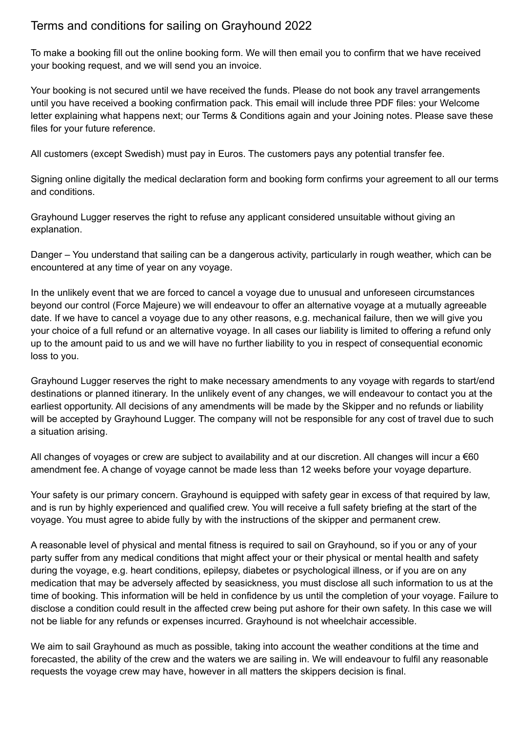## Terms and conditions for sailing on Grayhound 2022

To make a booking fill out the online booking form. We will then email you to confirm that we have received your booking request, and we will send you an invoice.

Your booking is not secured until we have received the funds. Please do not book any travel arrangements until you have received a booking confirmation pack. This email will include three PDF files: your Welcome letter explaining what happens next; our Terms & Conditions again and your Joining notes. Please save these files for your future reference.

All customers (except Swedish) must pay in Euros. The customers pays any potential transfer fee.

Signing online digitally the medical declaration form and booking form confirms your agreement to all our terms and conditions.

Grayhound Lugger reserves the right to refuse any applicant considered unsuitable without giving an explanation.

Danger – You understand that sailing can be a dangerous activity, particularly in rough weather, which can be encountered at any time of year on any voyage.

In the unlikely event that we are forced to cancel a voyage due to unusual and unforeseen circumstances beyond our control (Force Majeure) we will endeavour to offer an alternative voyage at a mutually agreeable date. If we have to cancel a voyage due to any other reasons, e.g. mechanical failure, then we will give you your choice of a full refund or an alternative voyage. In all cases our liability is limited to offering a refund only up to the amount paid to us and we will have no further liability to you in respect of consequential economic loss to you.

Grayhound Lugger reserves the right to make necessary amendments to any voyage with regards to start/end destinations or planned itinerary. In the unlikely event of any changes, we will endeavour to contact you at the earliest opportunity. All decisions of any amendments will be made by the Skipper and no refunds or liability will be accepted by Grayhound Lugger. The company will not be responsible for any cost of travel due to such a situation arising.

All changes of voyages or crew are subject to availability and at our discretion. All changes will incur a €60 amendment fee. A change of voyage cannot be made less than 12 weeks before your voyage departure.

Your safety is our primary concern. Grayhound is equipped with safety gear in excess of that required by law, and is run by highly experienced and qualified crew. You will receive a full safety briefing at the start of the voyage. You must agree to abide fully by with the instructions of the skipper and permanent crew.

A reasonable level of physical and mental fitness is required to sail on Grayhound, so if you or any of your party suffer from any medical conditions that might affect your or their physical or mental health and safety during the voyage, e.g. heart conditions, epilepsy, diabetes or psychological illness, or if you are on any medication that may be adversely affected by seasickness, you must disclose all such information to us at the time of booking. This information will be held in confidence by us until the completion of your voyage. Failure to disclose a condition could result in the affected crew being put ashore for their own safety. In this case we will not be liable for any refunds or expenses incurred. Grayhound is not wheelchair accessible.

We aim to sail Grayhound as much as possible, taking into account the weather conditions at the time and forecasted, the ability of the crew and the waters we are sailing in. We will endeavour to fulfil any reasonable requests the voyage crew may have, however in all matters the skippers decision is final.